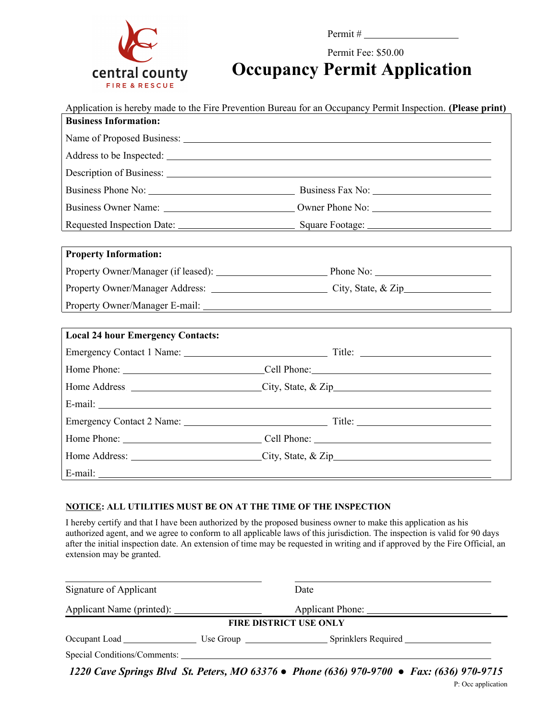

Permit #

Permit Fee: \$50.00

**Occupancy Permit Application**

| Application is hereby made to the Fire Prevention Bureau for an Occupancy Permit Inspection. (Please print) |  |  |  |
|-------------------------------------------------------------------------------------------------------------|--|--|--|
| <b>Business Information:</b>                                                                                |  |  |  |
|                                                                                                             |  |  |  |
|                                                                                                             |  |  |  |
|                                                                                                             |  |  |  |
|                                                                                                             |  |  |  |
|                                                                                                             |  |  |  |
|                                                                                                             |  |  |  |
|                                                                                                             |  |  |  |
| <b>Property Information:</b>                                                                                |  |  |  |
|                                                                                                             |  |  |  |
|                                                                                                             |  |  |  |
|                                                                                                             |  |  |  |
|                                                                                                             |  |  |  |
| <b>Local 24 hour Emergency Contacts:</b>                                                                    |  |  |  |
|                                                                                                             |  |  |  |
|                                                                                                             |  |  |  |
|                                                                                                             |  |  |  |
|                                                                                                             |  |  |  |
|                                                                                                             |  |  |  |
|                                                                                                             |  |  |  |
|                                                                                                             |  |  |  |
|                                                                                                             |  |  |  |

## **NOTICE: ALL UTILITIES MUST BE ON AT THE TIME OF THE INSPECTION**

I hereby certify and that I have been authorized by the proposed business owner to make this application as his authorized agent, and we agree to conform to all applicable laws of this jurisdiction. The inspection is valid for 90 days after the initial inspection date. An extension of time may be requested in writing and if approved by the Fire Official, an extension may be granted.

| Signature of Applicant | Date                                                                                     |
|------------------------|------------------------------------------------------------------------------------------|
|                        |                                                                                          |
|                        | <b>FIRE DISTRICT USE ONLY</b>                                                            |
|                        |                                                                                          |
|                        |                                                                                          |
|                        | 1220 Cave Springs Blvd St. Peters, MO 63376 • Phone (636) 970-9700 • Fax: (636) 970-9715 |

P: Occ application